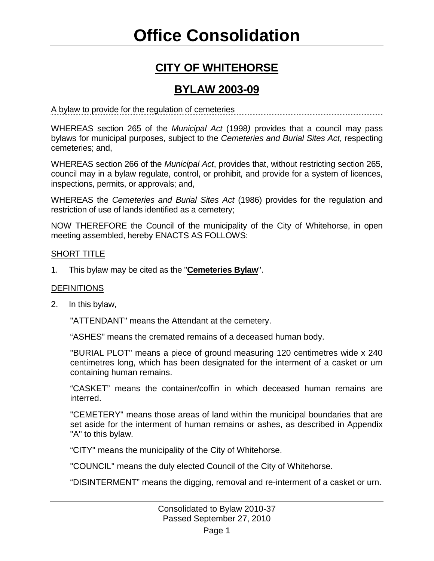# **Office Consolidation**

### **CITY OF WHITEHORSE**

### **BYLAW 2003-09**

A bylaw to provide for the regulation of cemeteries

WHEREAS section 265 of the *Municipal Act* (1998*)* provides that a council may pass bylaws for municipal purposes, subject to the *Cemeteries and Burial Sites Act*, respecting cemeteries; and,

WHEREAS section 266 of the *Municipal Act*, provides that, without restricting section 265, council may in a bylaw regulate, control, or prohibit, and provide for a system of licences, inspections, permits, or approvals; and,

WHEREAS the *Cemeteries and Burial Sites Act* (1986) provides for the regulation and restriction of use of lands identified as a cemetery;

NOW THEREFORE the Council of the municipality of the City of Whitehorse, in open meeting assembled, hereby ENACTS AS FOLLOWS:

### SHORT TITLE

1. This bylaw may be cited as the "**Cemeteries Bylaw**".

### **DEFINITIONS**

2. In this bylaw,

"ATTENDANT" means the Attendant at the cemetery.

"ASHES" means the cremated remains of a deceased human body.

"BURIAL PLOT" means a piece of ground measuring 120 centimetres wide x 240 centimetres long, which has been designated for the interment of a casket or urn containing human remains.

"CASKET" means the container/coffin in which deceased human remains are interred.

"CEMETERY" means those areas of land within the municipal boundaries that are set aside for the interment of human remains or ashes, as described in Appendix "A" to this bylaw.

"CITY" means the municipality of the City of Whitehorse.

"COUNCIL" means the duly elected Council of the City of Whitehorse.

"DISINTERMENT" means the digging, removal and re-interment of a casket or urn.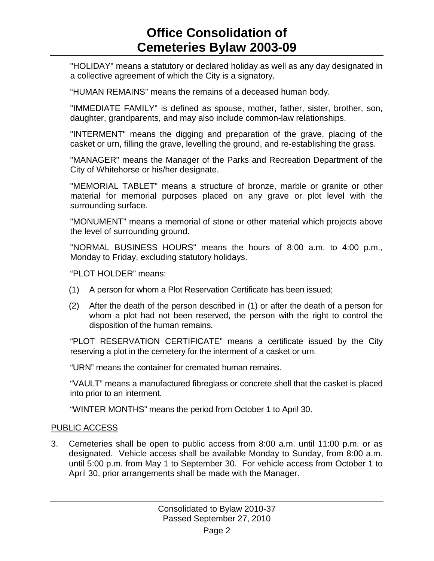"HOLIDAY" means a statutory or declared holiday as well as any day designated in a collective agreement of which the City is a signatory.

"HUMAN REMAINS" means the remains of a deceased human body.

"IMMEDIATE FAMILY" is defined as spouse, mother, father, sister, brother, son, daughter, grandparents, and may also include common-law relationships.

"INTERMENT" means the digging and preparation of the grave, placing of the casket or urn, filling the grave, levelling the ground, and re-establishing the grass.

"MANAGER" means the Manager of the Parks and Recreation Department of the City of Whitehorse or his/her designate.

"MEMORIAL TABLET" means a structure of bronze, marble or granite or other material for memorial purposes placed on any grave or plot level with the surrounding surface.

"MONUMENT" means a memorial of stone or other material which projects above the level of surrounding ground.

"NORMAL BUSINESS HOURS" means the hours of 8:00 a.m. to 4:00 p.m., Monday to Friday, excluding statutory holidays.

"PLOT HOLDER" means:

- (1) A person for whom a Plot Reservation Certificate has been issued;
- (2) After the death of the person described in (1) or after the death of a person for whom a plot had not been reserved, the person with the right to control the disposition of the human remains.

"PLOT RESERVATION CERTIFICATE" means a certificate issued by the City reserving a plot in the cemetery for the interment of a casket or urn.

"URN" means the container for cremated human remains.

"VAULT" means a manufactured fibreglass or concrete shell that the casket is placed into prior to an interment.

"WINTER MONTHS" means the period from October 1 to April 30.

### PUBLIC ACCESS

3. Cemeteries shall be open to public access from 8:00 a.m. until 11:00 p.m. or as designated. Vehicle access shall be available Monday to Sunday, from 8:00 a.m. until 5:00 p.m. from May 1 to September 30. For vehicle access from October 1 to April 30, prior arrangements shall be made with the Manager.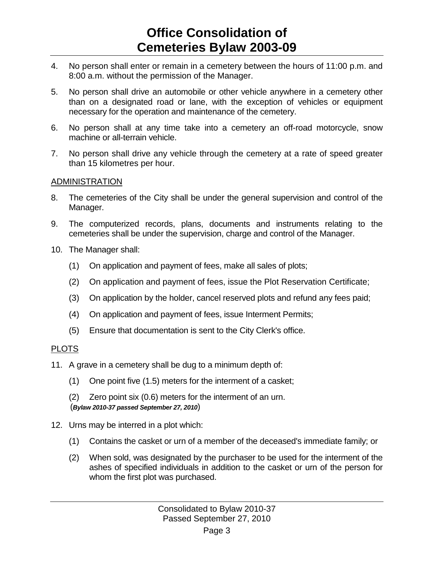- 4. No person shall enter or remain in a cemetery between the hours of 11:00 p.m. and 8:00 a.m. without the permission of the Manager.
- 5. No person shall drive an automobile or other vehicle anywhere in a cemetery other than on a designated road or lane, with the exception of vehicles or equipment necessary for the operation and maintenance of the cemetery.
- 6. No person shall at any time take into a cemetery an off-road motorcycle, snow machine or all-terrain vehicle.
- 7. No person shall drive any vehicle through the cemetery at a rate of speed greater than 15 kilometres per hour.

### ADMINISTRATION

- 8. The cemeteries of the City shall be under the general supervision and control of the Manager.
- 9. The computerized records, plans, documents and instruments relating to the cemeteries shall be under the supervision, charge and control of the Manager.
- 10. The Manager shall:
	- (1) On application and payment of fees, make all sales of plots;
	- (2) On application and payment of fees, issue the Plot Reservation Certificate;
	- (3) On application by the holder, cancel reserved plots and refund any fees paid;
	- (4) On application and payment of fees, issue Interment Permits;
	- (5) Ensure that documentation is sent to the City Clerk's office.

### PLOTS

- 11. A grave in a cemetery shall be dug to a minimum depth of:
	- (1) One point five (1.5) meters for the interment of a casket;
	- (2) Zero point six (0.6) meters for the interment of an urn.

### (*Bylaw 2010-37 passed September 27, 2010*)

- 12. Urns may be interred in a plot which:
	- (1) Contains the casket or urn of a member of the deceased's immediate family; or
	- (2) When sold, was designated by the purchaser to be used for the interment of the ashes of specified individuals in addition to the casket or urn of the person for whom the first plot was purchased.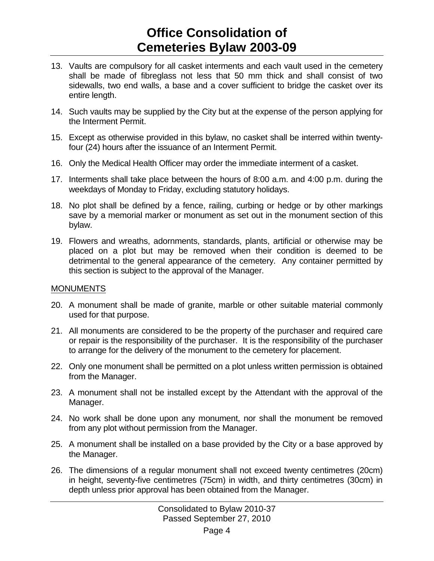- 13. Vaults are compulsory for all casket interments and each vault used in the cemetery shall be made of fibreglass not less that 50 mm thick and shall consist of two sidewalls, two end walls, a base and a cover sufficient to bridge the casket over its entire length.
- 14. Such vaults may be supplied by the City but at the expense of the person applying for the Interment Permit.
- 15. Except as otherwise provided in this bylaw, no casket shall be interred within twentyfour (24) hours after the issuance of an Interment Permit.
- 16. Only the Medical Health Officer may order the immediate interment of a casket.
- 17. Interments shall take place between the hours of 8:00 a.m. and 4:00 p.m. during the weekdays of Monday to Friday, excluding statutory holidays.
- 18. No plot shall be defined by a fence, railing, curbing or hedge or by other markings save by a memorial marker or monument as set out in the monument section of this bylaw.
- 19. Flowers and wreaths, adornments, standards, plants, artificial or otherwise may be placed on a plot but may be removed when their condition is deemed to be detrimental to the general appearance of the cemetery. Any container permitted by this section is subject to the approval of the Manager.

### **MONUMENTS**

- 20. A monument shall be made of granite, marble or other suitable material commonly used for that purpose.
- 21. All monuments are considered to be the property of the purchaser and required care or repair is the responsibility of the purchaser. It is the responsibility of the purchaser to arrange for the delivery of the monument to the cemetery for placement.
- 22. Only one monument shall be permitted on a plot unless written permission is obtained from the Manager.
- 23. A monument shall not be installed except by the Attendant with the approval of the Manager.
- 24. No work shall be done upon any monument, nor shall the monument be removed from any plot without permission from the Manager.
- 25. A monument shall be installed on a base provided by the City or a base approved by the Manager.
- 26. The dimensions of a regular monument shall not exceed twenty centimetres (20cm) in height, seventy-five centimetres (75cm) in width, and thirty centimetres (30cm) in depth unless prior approval has been obtained from the Manager.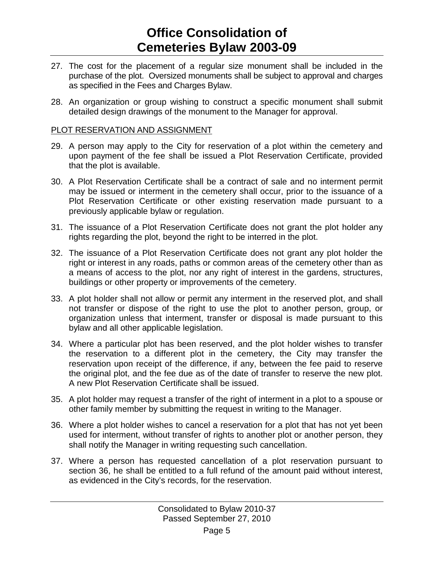- 27. The cost for the placement of a regular size monument shall be included in the purchase of the plot. Oversized monuments shall be subject to approval and charges as specified in the Fees and Charges Bylaw.
- 28. An organization or group wishing to construct a specific monument shall submit detailed design drawings of the monument to the Manager for approval.

### PLOT RESERVATION AND ASSIGNMENT

- 29. A person may apply to the City for reservation of a plot within the cemetery and upon payment of the fee shall be issued a Plot Reservation Certificate, provided that the plot is available.
- 30. A Plot Reservation Certificate shall be a contract of sale and no interment permit may be issued or interment in the cemetery shall occur, prior to the issuance of a Plot Reservation Certificate or other existing reservation made pursuant to a previously applicable bylaw or regulation.
- 31. The issuance of a Plot Reservation Certificate does not grant the plot holder any rights regarding the plot, beyond the right to be interred in the plot.
- 32. The issuance of a Plot Reservation Certificate does not grant any plot holder the right or interest in any roads, paths or common areas of the cemetery other than as a means of access to the plot, nor any right of interest in the gardens, structures, buildings or other property or improvements of the cemetery.
- 33. A plot holder shall not allow or permit any interment in the reserved plot, and shall not transfer or dispose of the right to use the plot to another person, group, or organization unless that interment, transfer or disposal is made pursuant to this bylaw and all other applicable legislation.
- 34. Where a particular plot has been reserved, and the plot holder wishes to transfer the reservation to a different plot in the cemetery, the City may transfer the reservation upon receipt of the difference, if any, between the fee paid to reserve the original plot, and the fee due as of the date of transfer to reserve the new plot. A new Plot Reservation Certificate shall be issued.
- 35. A plot holder may request a transfer of the right of interment in a plot to a spouse or other family member by submitting the request in writing to the Manager.
- 36. Where a plot holder wishes to cancel a reservation for a plot that has not yet been used for interment, without transfer of rights to another plot or another person, they shall notify the Manager in writing requesting such cancellation.
- 37. Where a person has requested cancellation of a plot reservation pursuant to section 36, he shall be entitled to a full refund of the amount paid without interest, as evidenced in the City's records, for the reservation.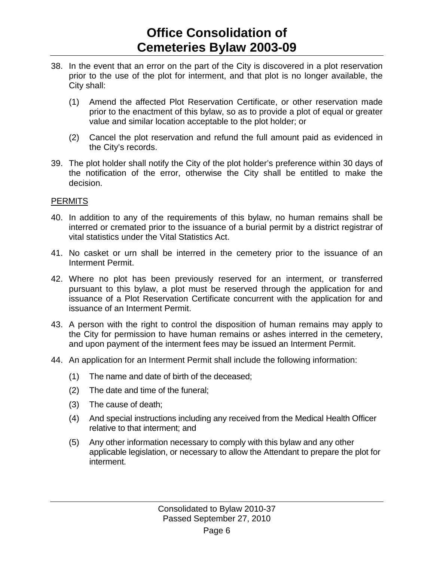- 38. In the event that an error on the part of the City is discovered in a plot reservation prior to the use of the plot for interment, and that plot is no longer available, the City shall:
	- (1) Amend the affected Plot Reservation Certificate, or other reservation made prior to the enactment of this bylaw, so as to provide a plot of equal or greater value and similar location acceptable to the plot holder; or
	- (2) Cancel the plot reservation and refund the full amount paid as evidenced in the City's records.
- 39. The plot holder shall notify the City of the plot holder's preference within 30 days of the notification of the error, otherwise the City shall be entitled to make the decision.

### **PERMITS**

- 40. In addition to any of the requirements of this bylaw, no human remains shall be interred or cremated prior to the issuance of a burial permit by a district registrar of vital statistics under the Vital Statistics Act.
- 41. No casket or urn shall be interred in the cemetery prior to the issuance of an Interment Permit.
- 42. Where no plot has been previously reserved for an interment, or transferred pursuant to this bylaw, a plot must be reserved through the application for and issuance of a Plot Reservation Certificate concurrent with the application for and issuance of an Interment Permit.
- 43. A person with the right to control the disposition of human remains may apply to the City for permission to have human remains or ashes interred in the cemetery, and upon payment of the interment fees may be issued an Interment Permit.
- 44. An application for an Interment Permit shall include the following information:
	- (1) The name and date of birth of the deceased;
	- (2) The date and time of the funeral;
	- (3) The cause of death;
	- (4) And special instructions including any received from the Medical Health Officer relative to that interment; and
	- (5) Any other information necessary to comply with this bylaw and any other applicable legislation, or necessary to allow the Attendant to prepare the plot for interment.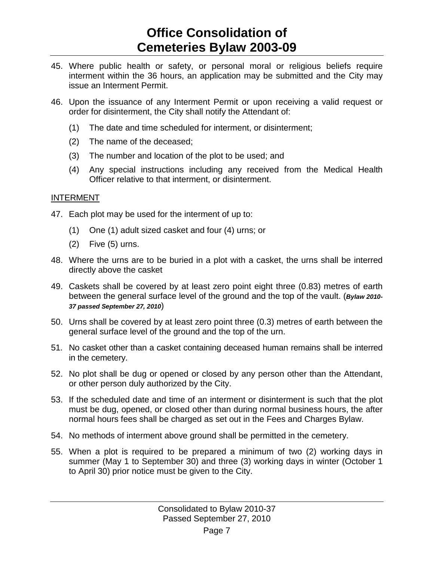- 45. Where public health or safety, or personal moral or religious beliefs require interment within the 36 hours, an application may be submitted and the City may issue an Interment Permit.
- 46. Upon the issuance of any Interment Permit or upon receiving a valid request or order for disinterment, the City shall notify the Attendant of:
	- (1) The date and time scheduled for interment, or disinterment;
	- (2) The name of the deceased;
	- (3) The number and location of the plot to be used; and
	- (4) Any special instructions including any received from the Medical Health Officer relative to that interment, or disinterment.

### INTERMENT

- 47. Each plot may be used for the interment of up to:
	- (1) One (1) adult sized casket and four (4) urns; or
	- (2) Five (5) urns.
- 48. Where the urns are to be buried in a plot with a casket, the urns shall be interred directly above the casket
- 49. Caskets shall be covered by at least zero point eight three (0.83) metres of earth between the general surface level of the ground and the top of the vault. (*Bylaw 2010- 37 passed September 27, 2010*)
- 50. Urns shall be covered by at least zero point three (0.3) metres of earth between the general surface level of the ground and the top of the urn.
- 51. No casket other than a casket containing deceased human remains shall be interred in the cemetery.
- 52. No plot shall be dug or opened or closed by any person other than the Attendant, or other person duly authorized by the City.
- 53. If the scheduled date and time of an interment or disinterment is such that the plot must be dug, opened, or closed other than during normal business hours, the after normal hours fees shall be charged as set out in the Fees and Charges Bylaw.
- 54. No methods of interment above ground shall be permitted in the cemetery.
- 55. When a plot is required to be prepared a minimum of two (2) working days in summer (May 1 to September 30) and three (3) working days in winter (October 1 to April 30) prior notice must be given to the City.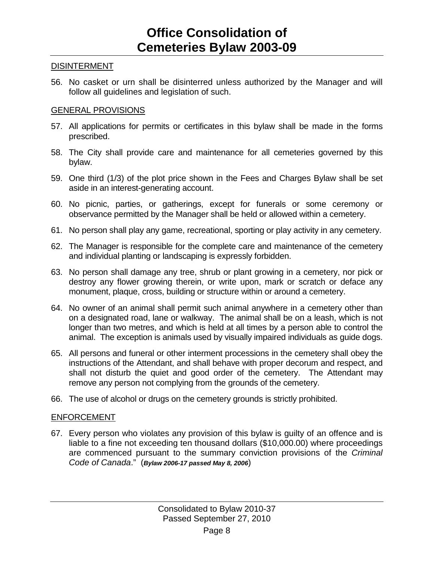#### **DISINTERMENT**

56. No casket or urn shall be disinterred unless authorized by the Manager and will follow all guidelines and legislation of such.

#### GENERAL PROVISIONS

- 57. All applications for permits or certificates in this bylaw shall be made in the forms prescribed.
- 58. The City shall provide care and maintenance for all cemeteries governed by this bylaw.
- 59. One third (1/3) of the plot price shown in the Fees and Charges Bylaw shall be set aside in an interest-generating account.
- 60. No picnic, parties, or gatherings, except for funerals or some ceremony or observance permitted by the Manager shall be held or allowed within a cemetery.
- 61. No person shall play any game, recreational, sporting or play activity in any cemetery.
- 62. The Manager is responsible for the complete care and maintenance of the cemetery and individual planting or landscaping is expressly forbidden.
- 63. No person shall damage any tree, shrub or plant growing in a cemetery, nor pick or destroy any flower growing therein, or write upon, mark or scratch or deface any monument, plaque, cross, building or structure within or around a cemetery.
- 64. No owner of an animal shall permit such animal anywhere in a cemetery other than on a designated road, lane or walkway. The animal shall be on a leash, which is not longer than two metres, and which is held at all times by a person able to control the animal. The exception is animals used by visually impaired individuals as guide dogs.
- 65. All persons and funeral or other interment processions in the cemetery shall obey the instructions of the Attendant, and shall behave with proper decorum and respect, and shall not disturb the quiet and good order of the cemetery. The Attendant may remove any person not complying from the grounds of the cemetery.
- 66. The use of alcohol or drugs on the cemetery grounds is strictly prohibited.

#### ENFORCEMENT

67. Every person who violates any provision of this bylaw is guilty of an offence and is liable to a fine not exceeding ten thousand dollars (\$10,000.00) where proceedings are commenced pursuant to the summary conviction provisions of the *Criminal Code of Canada*." (*Bylaw 2006-17 passed May 8, 2006*)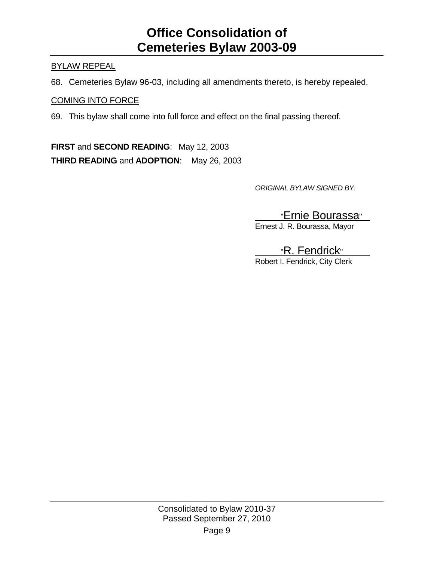### BYLAW REPEAL

68. Cemeteries Bylaw 96-03, including all amendments thereto, is hereby repealed.

### COMING INTO FORCE

69. This bylaw shall come into full force and effect on the final passing thereof.

**FIRST** and **SECOND READING**: May 12, 2003 **THIRD READING** and **ADOPTION**: May 26, 2003

*ORIGINAL BYLAW SIGNED BY:*

### "Ernie Bourassa"

Ernest J. R. Bourassa, Mayor

### "R. Fendrick"

Robert I. Fendrick, City Clerk